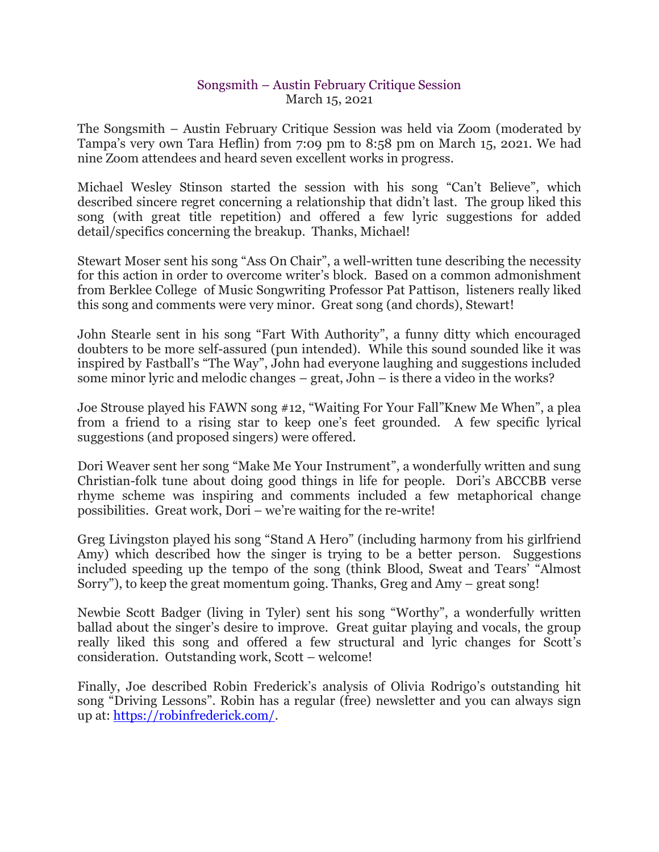## Songsmith – Austin February Critique Session March 15, 2021

The Songsmith – Austin February Critique Session was held via Zoom (moderated by Tampa's very own Tara Heflin) from 7:09 pm to 8:58 pm on March 15, 2021. We had nine Zoom attendees and heard seven excellent works in progress.

Michael Wesley Stinson started the session with his song "Can't Believe", which described sincere regret concerning a relationship that didn't last. The group liked this song (with great title repetition) and offered a few lyric suggestions for added detail/specifics concerning the breakup. Thanks, Michael!

Stewart Moser sent his song "Ass On Chair", a well-written tune describing the necessity for this action in order to overcome writer's block. Based on a common admonishment from Berklee College of Music Songwriting Professor Pat Pattison, listeners really liked this song and comments were very minor. Great song (and chords), Stewart!

John Stearle sent in his song "Fart With Authority", a funny ditty which encouraged doubters to be more self-assured (pun intended). While this sound sounded like it was inspired by Fastball's "The Way", John had everyone laughing and suggestions included some minor lyric and melodic changes – great, John – is there a video in the works?

Joe Strouse played his FAWN song #12, "Waiting For Your Fall"Knew Me When", a plea from a friend to a rising star to keep one's feet grounded. A few specific lyrical suggestions (and proposed singers) were offered.

Dori Weaver sent her song "Make Me Your Instrument", a wonderfully written and sung Christian-folk tune about doing good things in life for people. Dori's ABCCBB verse rhyme scheme was inspiring and comments included a few metaphorical change possibilities. Great work, Dori – we're waiting for the re-write!

Greg Livingston played his song "Stand A Hero" (including harmony from his girlfriend Amy) which described how the singer is trying to be a better person. Suggestions included speeding up the tempo of the song (think Blood, Sweat and Tears' "Almost Sorry"), to keep the great momentum going. Thanks, Greg and Amy – great song!

Newbie Scott Badger (living in Tyler) sent his song "Worthy", a wonderfully written ballad about the singer's desire to improve. Great guitar playing and vocals, the group really liked this song and offered a few structural and lyric changes for Scott's consideration. Outstanding work, Scott – welcome!

Finally, Joe described Robin Frederick's analysis of Olivia Rodrigo's outstanding hit song "Driving Lessons". Robin has a regular (free) newsletter and you can always sign up at: [https://robinfrederick.com/.](https://robinfrederick.com/)